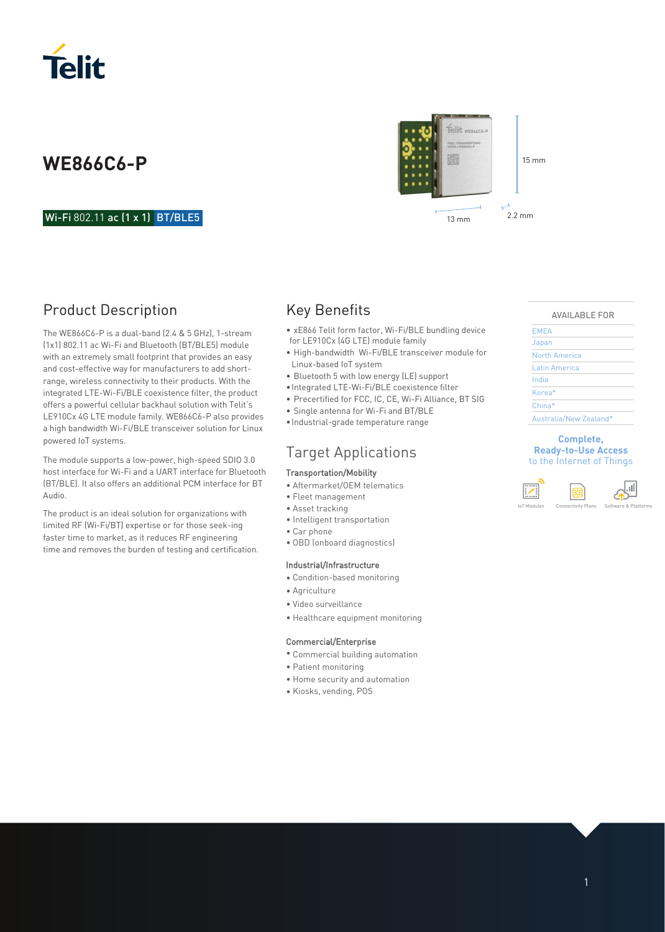

### Wi-Fi 802.11 ac (1 x 1) BT/BLE5

## Product Description

The WE866C6-P is a dual-band (2.4 & 5 GHz), 1-stream (1x1) 802.11 ac Wi-Fi and Bluetooth (BT/BLE5) module with an extremely small footprint that provides an easy and cost-effective way for manufacturers to add shortrange, wireless connectivity to their products. With the integrated LTE-Wi-Fi/BLE coexistence filter, the product offers a powerful cellular backhaul solution with Telit's LE910Cx 4G LTE module family. WE866C6-P also provides a high bandwidth Wi-Fi/BLE transceiver solution for Linux powered IoT systems.

The module supports a low-power, high-speed SDIO 3.0 host interface for Wi-Fi and a UART interface for Bluetooth (BT/BLE). It also offers an additional PCM interface for BT Audio.

The product is an ideal solution for organizations with limited RF (Wi-Fi/BT) expertise or for those seek-ing faster time to market, as it reduces RF engineering time and removes the burden of testing and certification.

### Key Benefits

- xE866 Telit form factor, Wi-Fi/BLE bundling device for LE910Cx (4G LTE) module family
- High-bandwidth Wi-Fi/BLE transceiver module for Linux-based IoT system
- Bluetooth 5 with low energy (LE) support
- Integrated LTE-Wi-Fi/BLE coexistence filter
- Precertified for FCC, IC, CE, Wi-Fi Alliance, BT SIG
- Single antenna for Wi-Fi and BT/BLE
- Industrial-grade temperature range

### Target Applications

#### Transportation/Mobility

- Aftermarket/OEM telematics
- Fleet management
- Asset tracking
- Intelligent transportation
- Car phone
- OBD (onboard diagnostics)

#### Industrial/Infrastructure

- Condition-based monitoring
- Agriculture
- Video surveillance
- Healthcare equipment monitoring

#### Commercial/Enterprise

- Commercial building automation
- Patient monitoring
- Home security and automation
- Kiosks, vending, POS



#### AVAILABLE FOR

| <b>EMEA</b>            |  |
|------------------------|--|
| Japan                  |  |
| North America          |  |
| Latin America          |  |
| India                  |  |
| Korea*                 |  |
| China*                 |  |
| Australia/New Zealand* |  |

#### **Complete, Ready-to-Use Access**  to the Internet of Things